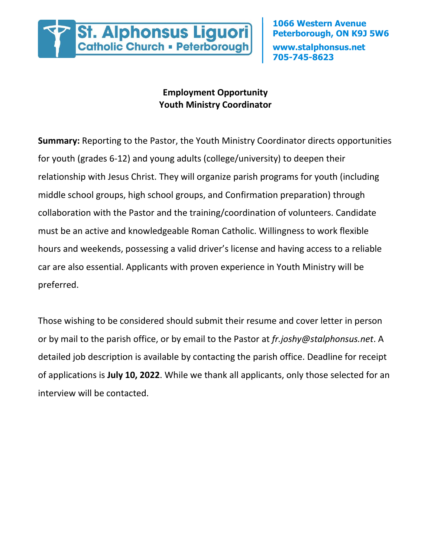

## **Employment Opportunity Youth Ministry Coordinator**

**Summary:** Reporting to the Pastor, the Youth Ministry Coordinator directs opportunities for youth (grades 6-12) and young adults (college/university) to deepen their relationship with Jesus Christ. They will organize parish programs for youth (including middle school groups, high school groups, and Confirmation preparation) through collaboration with the Pastor and the training/coordination of volunteers. Candidate must be an active and knowledgeable Roman Catholic. Willingness to work flexible hours and weekends, possessing a valid driver's license and having access to a reliable car are also essential. Applicants with proven experience in Youth Ministry will be preferred.

Those wishing to be considered should submit their resume and cover letter in person or by mail to the parish office, or by email to the Pastor at *fr.joshy@stalphonsus.net*. A detailed job description is available by contacting the parish office. Deadline for receipt of applications is **July 10, 2022**. While we thank all applicants, only those selected for an interview will be contacted.